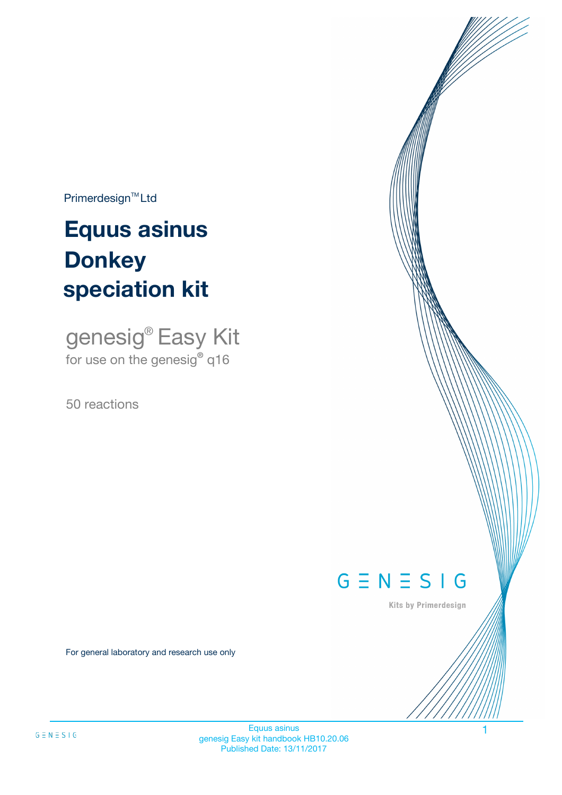$Primerdesign^{\text{TM}}Ltd$ 

# **Equus asinus speciation kit Donkey**

genesig® Easy Kit for use on the genesig**®** q16

50 reactions



Kits by Primerdesign

For general laboratory and research use only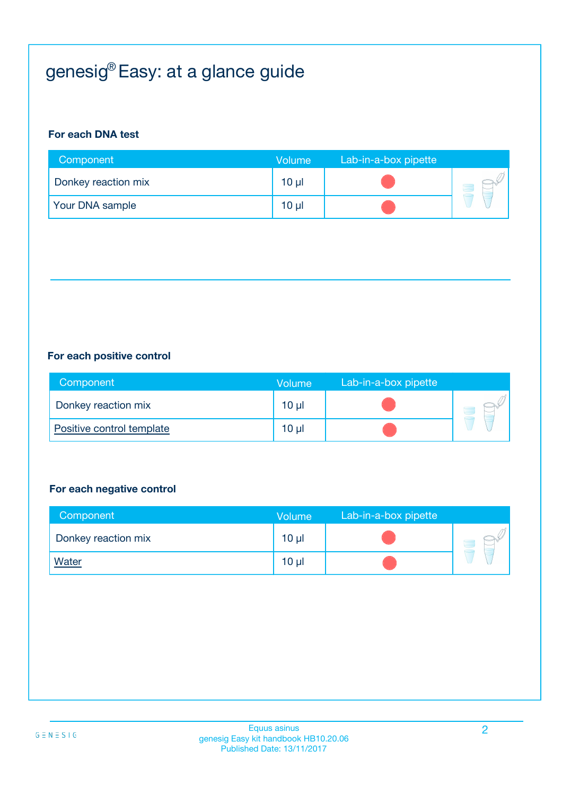# genesig® Easy: at a glance guide

#### **For each DNA test**

| Component           | <b>Volume</b>   | Lab-in-a-box pipette |  |
|---------------------|-----------------|----------------------|--|
| Donkey reaction mix | $10 \mu$        |                      |  |
| Your DNA sample     | 10 <sub>µ</sub> |                      |  |

#### **For each positive control**

| Component                 | <b>Volume</b> | Lab-in-a-box pipette |  |
|---------------------------|---------------|----------------------|--|
| Donkey reaction mix       | 10 µl         |                      |  |
| Positive control template | 10 µl         |                      |  |

#### **For each negative control**

| Component           | <b>Volume</b>   | Lab-in-a-box pipette |  |
|---------------------|-----------------|----------------------|--|
| Donkey reaction mix | $10 \mu$        |                      |  |
| <b>Water</b>        | 10 <sub>µ</sub> |                      |  |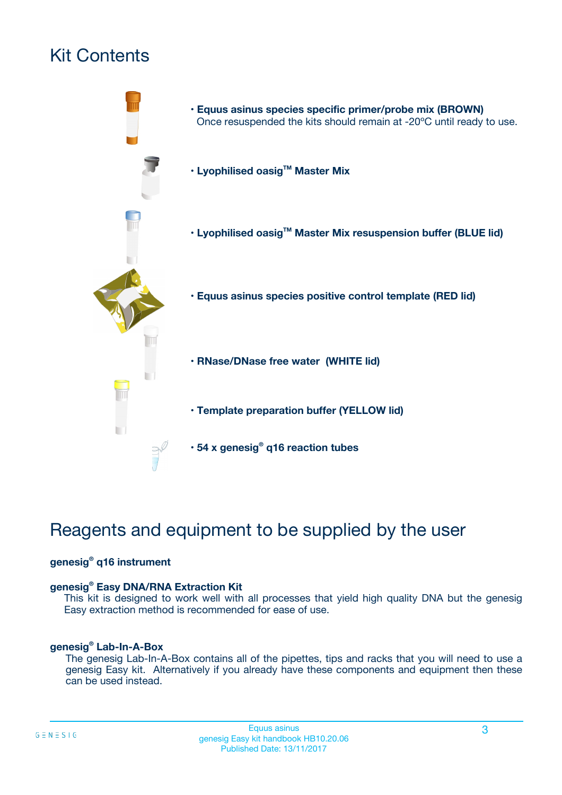# Kit Contents



# Reagents and equipment to be supplied by the user

#### **genesig® q16 instrument**

#### **genesig® Easy DNA/RNA Extraction Kit**

This kit is designed to work well with all processes that yield high quality DNA but the genesig Easy extraction method is recommended for ease of use.

#### **genesig® Lab-In-A-Box**

The genesig Lab-In-A-Box contains all of the pipettes, tips and racks that you will need to use a genesig Easy kit. Alternatively if you already have these components and equipment then these can be used instead.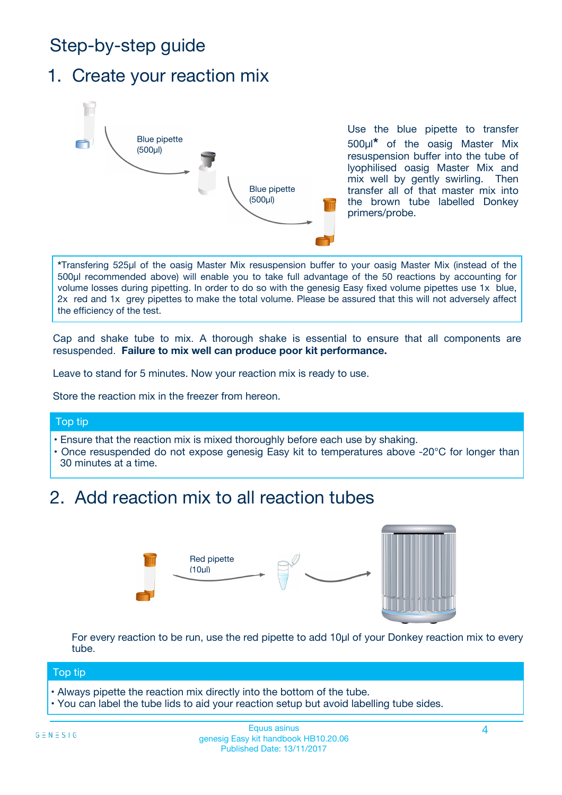# Step-by-step guide

### 1. Create your reaction mix



Use the blue pipette to transfer 500µl**\*** of the oasig Master Mix resuspension buffer into the tube of lyophilised oasig Master Mix and mix well by gently swirling. Then transfer all of that master mix into the brown tube labelled Donkey primers/probe.

**\***Transfering 525µl of the oasig Master Mix resuspension buffer to your oasig Master Mix (instead of the 500µl recommended above) will enable you to take full advantage of the 50 reactions by accounting for volume losses during pipetting. In order to do so with the genesig Easy fixed volume pipettes use 1x blue, 2x red and 1x grey pipettes to make the total volume. Please be assured that this will not adversely affect the efficiency of the test.

Cap and shake tube to mix. A thorough shake is essential to ensure that all components are resuspended. **Failure to mix well can produce poor kit performance.**

Leave to stand for 5 minutes. Now your reaction mix is ready to use.

Store the reaction mix in the freezer from hereon.

#### Top tip

- Ensure that the reaction mix is mixed thoroughly before each use by shaking.
- **•** Once resuspended do not expose genesig Easy kit to temperatures above -20°C for longer than 30 minutes at a time.

# 2. Add reaction mix to all reaction tubes



For every reaction to be run, use the red pipette to add 10µl of your Donkey reaction mix to every tube.

#### Top tip

- Always pipette the reaction mix directly into the bottom of the tube.
- You can label the tube lids to aid your reaction setup but avoid labelling tube sides.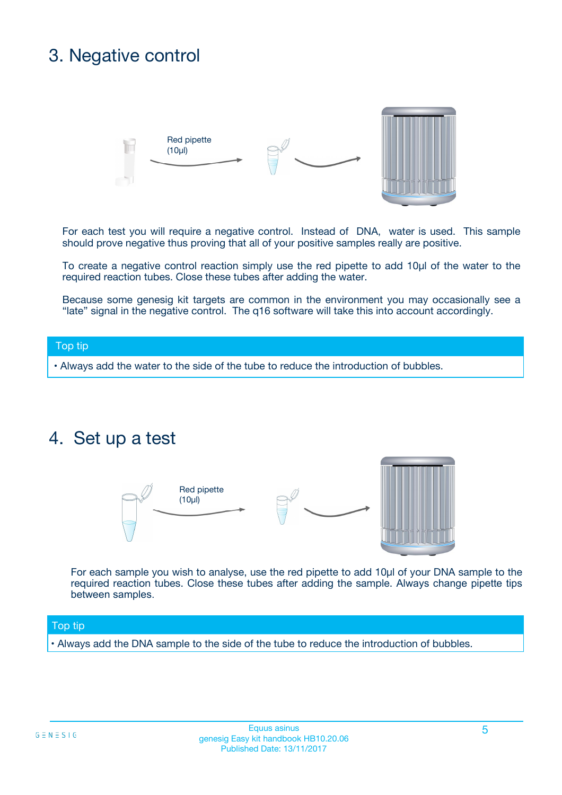## 3. Negative control



For each test you will require a negative control. Instead of DNA, water is used. This sample should prove negative thus proving that all of your positive samples really are positive.

To create a negative control reaction simply use the red pipette to add 10µl of the water to the required reaction tubes. Close these tubes after adding the water.

Because some genesig kit targets are common in the environment you may occasionally see a "late" signal in the negative control. The q16 software will take this into account accordingly.

#### Top tip

**•** Always add the water to the side of the tube to reduce the introduction of bubbles.

### 4. Set up a test



For each sample you wish to analyse, use the red pipette to add 10µl of your DNA sample to the required reaction tubes. Close these tubes after adding the sample. Always change pipette tips between samples.

#### Top tip

**•** Always add the DNA sample to the side of the tube to reduce the introduction of bubbles.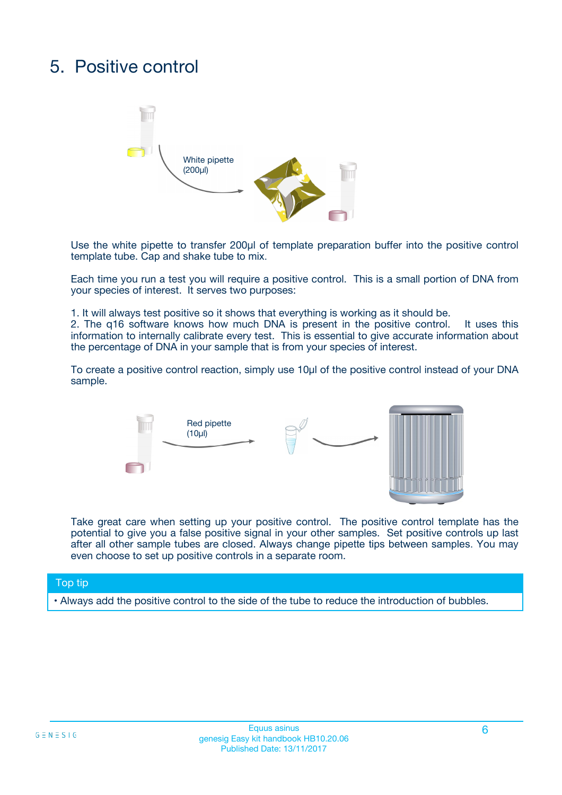# 5. Positive control



Use the white pipette to transfer 200µl of template preparation buffer into the positive control template tube. Cap and shake tube to mix.

Each time you run a test you will require a positive control. This is a small portion of DNA from your species of interest. It serves two purposes:

1. It will always test positive so it shows that everything is working as it should be.

2. The q16 software knows how much DNA is present in the positive control. It uses this information to internally calibrate every test. This is essential to give accurate information about the percentage of DNA in your sample that is from your species of interest.

To create a positive control reaction, simply use 10µl of the positive control instead of your DNA sample.



Take great care when setting up your positive control. The positive control template has the potential to give you a false positive signal in your other samples. Set positive controls up last after all other sample tubes are closed. Always change pipette tips between samples. You may even choose to set up positive controls in a separate room.

#### Top tip

**•** Always add the positive control to the side of the tube to reduce the introduction of bubbles.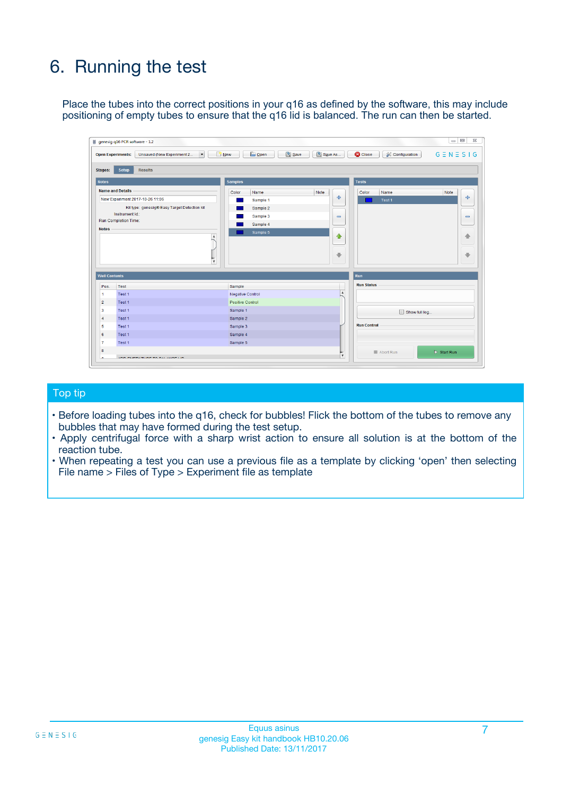# 6. Running the test

Place the tubes into the correct positions in your q16 as defined by the software, this may include positioning of empty tubes to ensure that the q16 lid is balanced. The run can then be started.

|                                    | genesig q16 PCR software - 1.2                                                    |                                     |                              |                                   | $\Box$<br>$\Sigma$           |
|------------------------------------|-----------------------------------------------------------------------------------|-------------------------------------|------------------------------|-----------------------------------|------------------------------|
|                                    | <b>Open Experiments:</b><br>Unsaved (New Experiment 2<br>$\overline{\phantom{a}}$ | <b>E</b> Open<br>Save<br>$\Box$ New | Save As                      | <b>C</b> Close<br>& Configuration | $G \equiv N \equiv S \mid G$ |
| Stages:                            | Setup<br><b>Results</b>                                                           |                                     |                              |                                   |                              |
| <b>Notes</b>                       |                                                                                   | <b>Samples</b>                      |                              | <b>Tests</b>                      |                              |
|                                    | <b>Name and Details</b>                                                           | Color<br>Name                       | Note                         | Color<br>Name                     | Note                         |
|                                    | New Experiment 2017-10-26 11:06                                                   | Sample 1                            | 유                            | Test <sub>1</sub>                 | ÷                            |
|                                    | Kit type: genesig® Easy Target Detection kit                                      | Sample 2                            |                              |                                   |                              |
|                                    | Instrument Id.:                                                                   | Sample 3                            | $\qquad \qquad \blacksquare$ |                                   | $\qquad \qquad \blacksquare$ |
|                                    | <b>Run Completion Time:</b>                                                       | Sample 4                            |                              |                                   |                              |
| <b>Notes</b>                       | $\blacktriangle$                                                                  | Sample 5                            | ♠<br>÷                       |                                   | 41<br>€                      |
| <b>Well Contents</b>               | $\overline{\mathbf{v}}$                                                           |                                     |                              | <b>Run</b>                        |                              |
| Pos.                               | <b>Test</b>                                                                       | Sample                              |                              | <b>Run Status</b>                 |                              |
| 1                                  | Test 1                                                                            | <b>Negative Control</b>             | $\blacktriangle$             |                                   |                              |
| $\overline{2}$                     | Test 1                                                                            | <b>Positive Control</b>             |                              |                                   |                              |
| 3                                  | Test 1                                                                            | Sample 1                            |                              | Show full log                     |                              |
|                                    | Test 1                                                                            | Sample 2                            |                              |                                   |                              |
|                                    |                                                                                   | Sample 3                            |                              | <b>Run Control</b>                |                              |
|                                    | Test 1                                                                            |                                     |                              |                                   |                              |
|                                    | Test 1                                                                            | Sample 4                            |                              |                                   |                              |
|                                    | Test 1                                                                            | Sample 5                            |                              |                                   |                              |
| 4<br>5<br>6<br>$\overline{7}$<br>8 |                                                                                   |                                     | $\overline{\mathbf v}$       | Abort Run                         | $\triangleright$ Start Run   |

#### Top tip

- Before loading tubes into the q16, check for bubbles! Flick the bottom of the tubes to remove any bubbles that may have formed during the test setup.
- Apply centrifugal force with a sharp wrist action to ensure all solution is at the bottom of the reaction tube.
- When repeating a test you can use a previous file as a template by clicking 'open' then selecting File name > Files of Type > Experiment file as template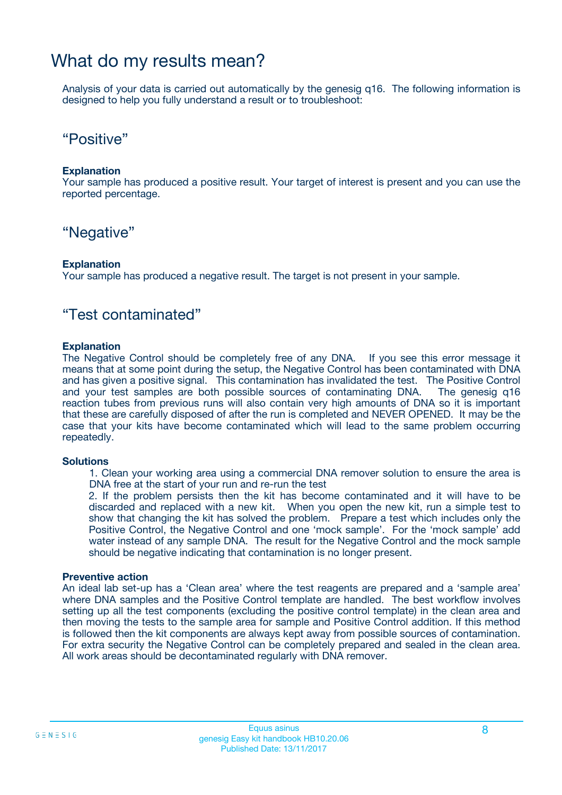### What do my results mean?

Analysis of your data is carried out automatically by the genesig q16. The following information is designed to help you fully understand a result or to troubleshoot:

### "Positive"

#### **Explanation**

Your sample has produced a positive result. Your target of interest is present and you can use the reported percentage.

### "Negative"

#### **Explanation**

Your sample has produced a negative result. The target is not present in your sample.

### "Test contaminated"

#### **Explanation**

The Negative Control should be completely free of any DNA. If you see this error message it means that at some point during the setup, the Negative Control has been contaminated with DNA and has given a positive signal. This contamination has invalidated the test. The Positive Control and your test samples are both possible sources of contaminating DNA. The genesig q16 reaction tubes from previous runs will also contain very high amounts of DNA so it is important that these are carefully disposed of after the run is completed and NEVER OPENED. It may be the case that your kits have become contaminated which will lead to the same problem occurring repeatedly.

#### **Solutions**

1. Clean your working area using a commercial DNA remover solution to ensure the area is DNA free at the start of your run and re-run the test

2. If the problem persists then the kit has become contaminated and it will have to be discarded and replaced with a new kit. When you open the new kit, run a simple test to show that changing the kit has solved the problem. Prepare a test which includes only the Positive Control, the Negative Control and one 'mock sample'. For the 'mock sample' add water instead of any sample DNA. The result for the Negative Control and the mock sample should be negative indicating that contamination is no longer present.

#### **Preventive action**

An ideal lab set-up has a 'Clean area' where the test reagents are prepared and a 'sample area' where DNA samples and the Positive Control template are handled. The best workflow involves setting up all the test components (excluding the positive control template) in the clean area and then moving the tests to the sample area for sample and Positive Control addition. If this method is followed then the kit components are always kept away from possible sources of contamination. For extra security the Negative Control can be completely prepared and sealed in the clean area. All work areas should be decontaminated regularly with DNA remover.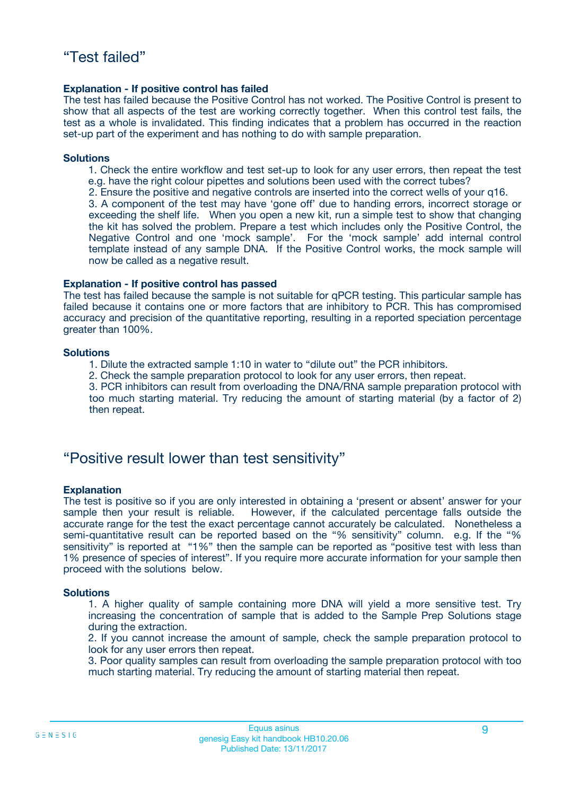#### **Explanation - If positive control has failed**

The test has failed because the Positive Control has not worked. The Positive Control is present to show that all aspects of the test are working correctly together. When this control test fails, the test as a whole is invalidated. This finding indicates that a problem has occurred in the reaction set-up part of the experiment and has nothing to do with sample preparation.

#### **Solutions**

- 1. Check the entire workflow and test set-up to look for any user errors, then repeat the test e.g. have the right colour pipettes and solutions been used with the correct tubes?
- 2. Ensure the positive and negative controls are inserted into the correct wells of your q16.

3. A component of the test may have 'gone off' due to handing errors, incorrect storage or exceeding the shelf life. When you open a new kit, run a simple test to show that changing the kit has solved the problem. Prepare a test which includes only the Positive Control, the Negative Control and one 'mock sample'. For the 'mock sample' add internal control template instead of any sample DNA. If the Positive Control works, the mock sample will now be called as a negative result.

#### **Explanation - If positive control has passed**

The test has failed because the sample is not suitable for qPCR testing. This particular sample has failed because it contains one or more factors that are inhibitory to PCR. This has compromised accuracy and precision of the quantitative reporting, resulting in a reported speciation percentage greater than 100%.

#### **Solutions**

- 1. Dilute the extracted sample 1:10 in water to "dilute out" the PCR inhibitors.
- 2. Check the sample preparation protocol to look for any user errors, then repeat.

3. PCR inhibitors can result from overloading the DNA/RNA sample preparation protocol with too much starting material. Try reducing the amount of starting material (by a factor of 2) then repeat.

### "Positive result lower than test sensitivity"

#### **Explanation**

The test is positive so if you are only interested in obtaining a 'present or absent' answer for your sample then your result is reliable. However, if the calculated percentage falls outside the accurate range for the test the exact percentage cannot accurately be calculated. Nonetheless a semi-quantitative result can be reported based on the "% sensitivity" column. e.g. If the "% sensitivity" is reported at "1%" then the sample can be reported as "positive test with less than 1% presence of species of interest". If you require more accurate information for your sample then proceed with the solutions below.

#### **Solutions**

1. A higher quality of sample containing more DNA will yield a more sensitive test. Try increasing the concentration of sample that is added to the Sample Prep Solutions stage during the extraction.

2. If you cannot increase the amount of sample, check the sample preparation protocol to look for any user errors then repeat.

3. Poor quality samples can result from overloading the sample preparation protocol with too much starting material. Try reducing the amount of starting material then repeat.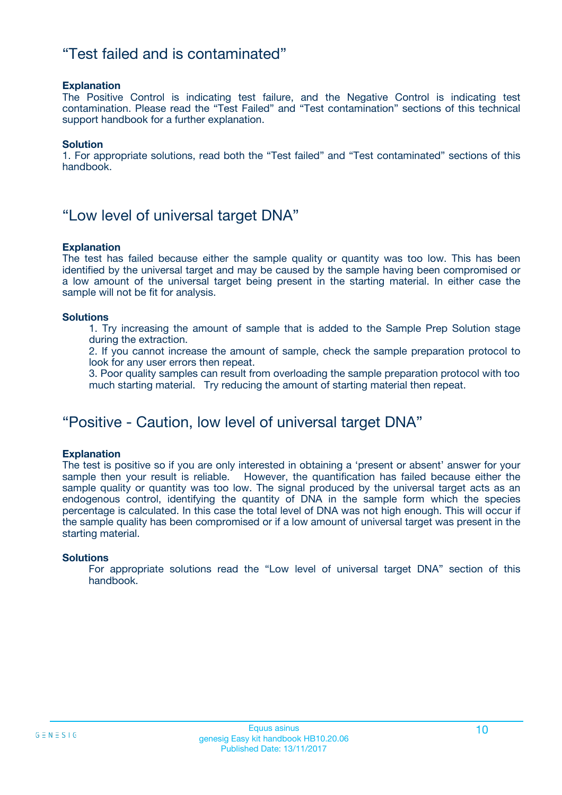### "Test failed and is contaminated"

#### **Explanation**

The Positive Control is indicating test failure, and the Negative Control is indicating test contamination. Please read the "Test Failed" and "Test contamination" sections of this technical support handbook for a further explanation.

#### **Solution**

1. For appropriate solutions, read both the "Test failed" and "Test contaminated" sections of this handbook.

### "Low level of universal target DNA"

#### **Explanation**

The test has failed because either the sample quality or quantity was too low. This has been identified by the universal target and may be caused by the sample having been compromised or a low amount of the universal target being present in the starting material. In either case the sample will not be fit for analysis.

#### **Solutions**

1. Try increasing the amount of sample that is added to the Sample Prep Solution stage during the extraction.

2. If you cannot increase the amount of sample, check the sample preparation protocol to look for any user errors then repeat.

3. Poor quality samples can result from overloading the sample preparation protocol with too much starting material. Try reducing the amount of starting material then repeat.

### "Positive - Caution, low level of universal target DNA"

#### **Explanation**

The test is positive so if you are only interested in obtaining a 'present or absent' answer for your sample then your result is reliable. However, the quantification has failed because either the sample quality or quantity was too low. The signal produced by the universal target acts as an endogenous control, identifying the quantity of DNA in the sample form which the species percentage is calculated. In this case the total level of DNA was not high enough. This will occur if the sample quality has been compromised or if a low amount of universal target was present in the starting material.

#### **Solutions**

For appropriate solutions read the "Low level of universal target DNA" section of this handbook.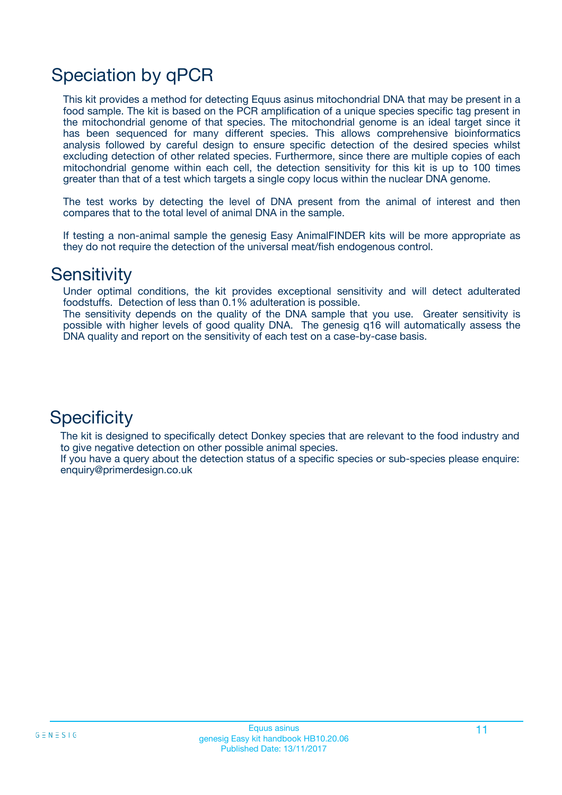# Speciation by qPCR

This kit provides a method for detecting Equus asinus mitochondrial DNA that may be present in a food sample. The kit is based on the PCR amplification of a unique species specific tag present in the mitochondrial genome of that species. The mitochondrial genome is an ideal target since it has been sequenced for many different species. This allows comprehensive bioinformatics analysis followed by careful design to ensure specific detection of the desired species whilst excluding detection of other related species. Furthermore, since there are multiple copies of each mitochondrial genome within each cell, the detection sensitivity for this kit is up to 100 times greater than that of a test which targets a single copy locus within the nuclear DNA genome.

The test works by detecting the level of DNA present from the animal of interest and then compares that to the total level of animal DNA in the sample.

If testing a non-animal sample the genesig Easy AnimalFINDER kits will be more appropriate as they do not require the detection of the universal meat/fish endogenous control.

### **Sensitivity**

Under optimal conditions, the kit provides exceptional sensitivity and will detect adulterated foodstuffs. Detection of less than 0.1% adulteration is possible.

The sensitivity depends on the quality of the DNA sample that you use. Greater sensitivity is possible with higher levels of good quality DNA. The genesig q16 will automatically assess the DNA quality and report on the sensitivity of each test on a case-by-case basis.

### **Specificity**

The kit is designed to specifically detect Donkey species that are relevant to the food industry and to give negative detection on other possible animal species.

If you have a query about the detection status of a specific species or sub-species please enquire: enquiry@primerdesign.co.uk